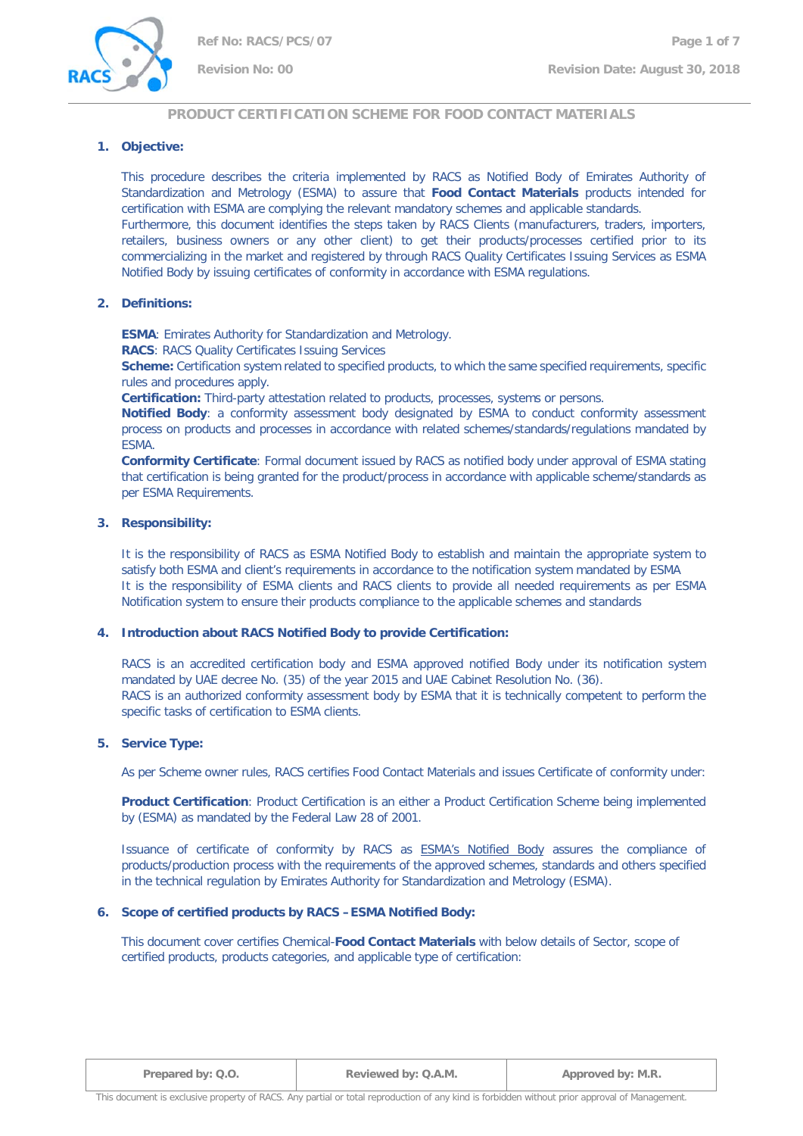



#### **1. Objective:**

This procedure describes the criteria implemented by RACS as Notified Body of Emirates Authority of Standardization and Metrology (ESMA) to assure that **Food Contact Materials** products intended for certification with ESMA are complying the relevant mandatory schemes and applicable standards. Furthermore, this document identifies the steps taken by RACS Clients (manufacturers, traders, importers, retailers, business owners or any other client) to get their products/processes certified prior to its commercializing in the market and registered by through RACS Quality Certificates Issuing Services as ESMA Notified Body by issuing certificates of conformity in accordance with ESMA regulations.

#### **2. Definitions:**

**ESMA**: Emirates Authority for Standardization and Metrology.

**RACS**: RACS Quality Certificates Issuing Services

**Scheme:** Certification system related to specified products, to which the same specified requirements, specific rules and procedures apply.

**Certification:** Third-party attestation related to products, processes, systems or persons.

**Notified Body**: a conformity assessment body designated by ESMA to conduct conformity assessment process on products and processes in accordance with related schemes/standards/regulations mandated by ESMA.

**Conformity Certificate**: Formal document issued by RACS as notified body under approval of ESMA stating that certification is being granted for the product/process in accordance with applicable scheme/standards as per ESMA Requirements.

#### **3. Responsibility:**

It is the responsibility of RACS as ESMA Notified Body to establish and maintain the appropriate system to satisfy both ESMA and client's requirements in accordance to the notification system mandated by ESMA It is the responsibility of ESMA clients and RACS clients to provide all needed requirements as per ESMA Notification system to ensure their products compliance to the applicable schemes and standards

#### **4. Introduction about RACS Notified Body to provide Certification:**

RACS is an accredited certification body and ESMA approved notified Body under its notification system mandated by UAE decree No. (35) of the year 2015 and UAE Cabinet Resolution No. (36). RACS is an authorized conformity assessment body by ESMA that it is technically competent to perform the specific tasks of certification to ESMA clients.

#### **5. Service Type:**

As per Scheme owner rules, RACS certifies Food Contact Materials and issues Certificate of conformity under:

**Product Certification**: Product Certification is an either a Product Certification Scheme being implemented by (ESMA) as mandated by the Federal Law 28 of 2001.

Issuance of certificate of conformity by RACS as ESMA's Notified Body assures the compliance of products/production process with the requirements of the approved schemes, standards and others specified in the technical regulation by Emirates Authority for Standardization and Metrology (ESMA).

#### **6. Scope of certified products by RACS –ESMA Notified Body:**

This document cover certifies Chemical-**Food Contact Materials** with below details of Sector, scope of certified products, products categories, and applicable type of certification:

| repared by: Q.O. |  |
|------------------|--|
|------------------|--|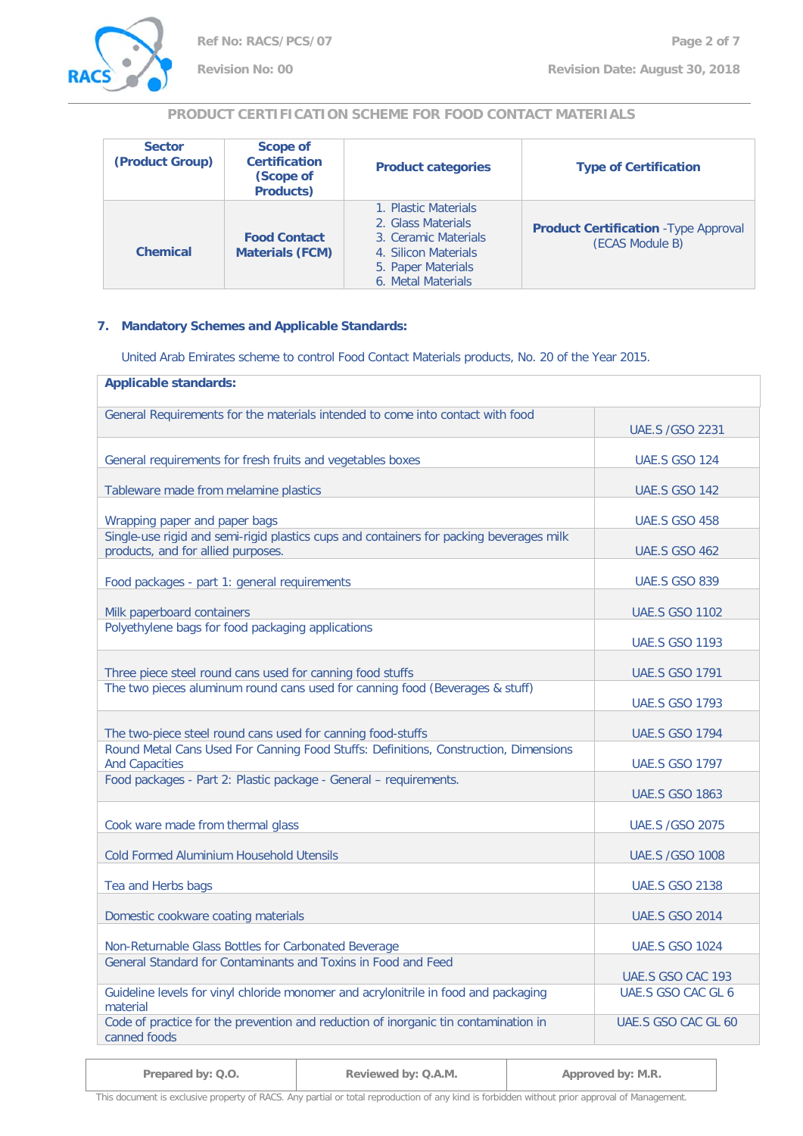

| <b>Sector</b><br>(Product Group) | Scope of<br><b>Certification</b><br>(Scope of<br><b>Products)</b> | <b>Product categories</b>                                                                                                              | <b>Type of Certification</b>                                    |
|----------------------------------|-------------------------------------------------------------------|----------------------------------------------------------------------------------------------------------------------------------------|-----------------------------------------------------------------|
| <b>Chemical</b>                  | <b>Food Contact</b><br><b>Materials (FCM)</b>                     | 1. Plastic Materials<br>2. Glass Materials<br>3. Ceramic Materials<br>4. Silicon Materials<br>5. Paper Materials<br>6. Metal Materials | <b>Product Certification - Type Approval</b><br>(ECAS Module B) |

#### **7. Mandatory Schemes and Applicable Standards:**

United Arab Emirates scheme to control Food Contact Materials products, No. 20 of the Year 2015.

| <b>Applicable standards:</b>                                                                                                              |                        |
|-------------------------------------------------------------------------------------------------------------------------------------------|------------------------|
| General Requirements for the materials intended to come into contact with food                                                            | <b>UAE.S /GSO 2231</b> |
| General requirements for fresh fruits and vegetables boxes                                                                                | <b>UAE.S GSO 124</b>   |
| Tableware made from melamine plastics                                                                                                     | <b>UAE.S GSO 142</b>   |
| Wrapping paper and paper bags                                                                                                             | <b>UAE.S GSO 458</b>   |
| Single-use rigid and semi-rigid plastics cups and containers for packing beverages milk<br>products, and for allied purposes.             | <b>UAE.S GSO 462</b>   |
| Food packages - part 1: general requirements                                                                                              | <b>UAE.S GSO 839</b>   |
| Milk paperboard containers                                                                                                                | <b>UAE.S GSO 1102</b>  |
| Polyethylene bags for food packaging applications                                                                                         | <b>UAE.S GSO 1193</b>  |
| Three piece steel round cans used for canning food stuffs<br>The two pieces aluminum round cans used for canning food (Beverages & stuff) | <b>UAE.S GSO 1791</b>  |
|                                                                                                                                           | <b>UAE.S GSO 1793</b>  |
| The two-piece steel round cans used for canning food-stuffs                                                                               | <b>UAE.S GSO 1794</b>  |
| Round Metal Cans Used For Canning Food Stuffs: Definitions, Construction, Dimensions<br><b>And Capacities</b>                             | <b>UAE.S GSO 1797</b>  |
| Food packages - Part 2: Plastic package - General - requirements.                                                                         | <b>UAE.S GSO 1863</b>  |
| Cook ware made from thermal glass                                                                                                         | <b>UAE.S /GSO 2075</b> |
| <b>Cold Formed Aluminium Household Utensils</b>                                                                                           | <b>UAE.S /GSO 1008</b> |
| Tea and Herbs bags                                                                                                                        | <b>UAE.S GSO 2138</b>  |
| Domestic cookware coating materials                                                                                                       | <b>UAE.S GSO 2014</b>  |
| Non-Returnable Glass Bottles for Carbonated Beverage                                                                                      | <b>UAE.S GSO 1024</b>  |
| General Standard for Contaminants and Toxins in Food and Feed                                                                             | UAE.S GSO CAC 193      |
| Guideline levels for vinyl chloride monomer and acrylonitrile in food and packaging<br>material                                           | UAE.S GSO CAC GL 6     |
| Code of practice for the prevention and reduction of inorganic tin contamination in<br>canned foods                                       | UAE.S GSO CAC GL 60    |

**Prepared by: Q.O. Reviewed by: Q.A.M. Approved by: M.R.**

This document is exclusive property of RACS. Any partial or total reproduction of any kind is forbidden without prior approval of Management.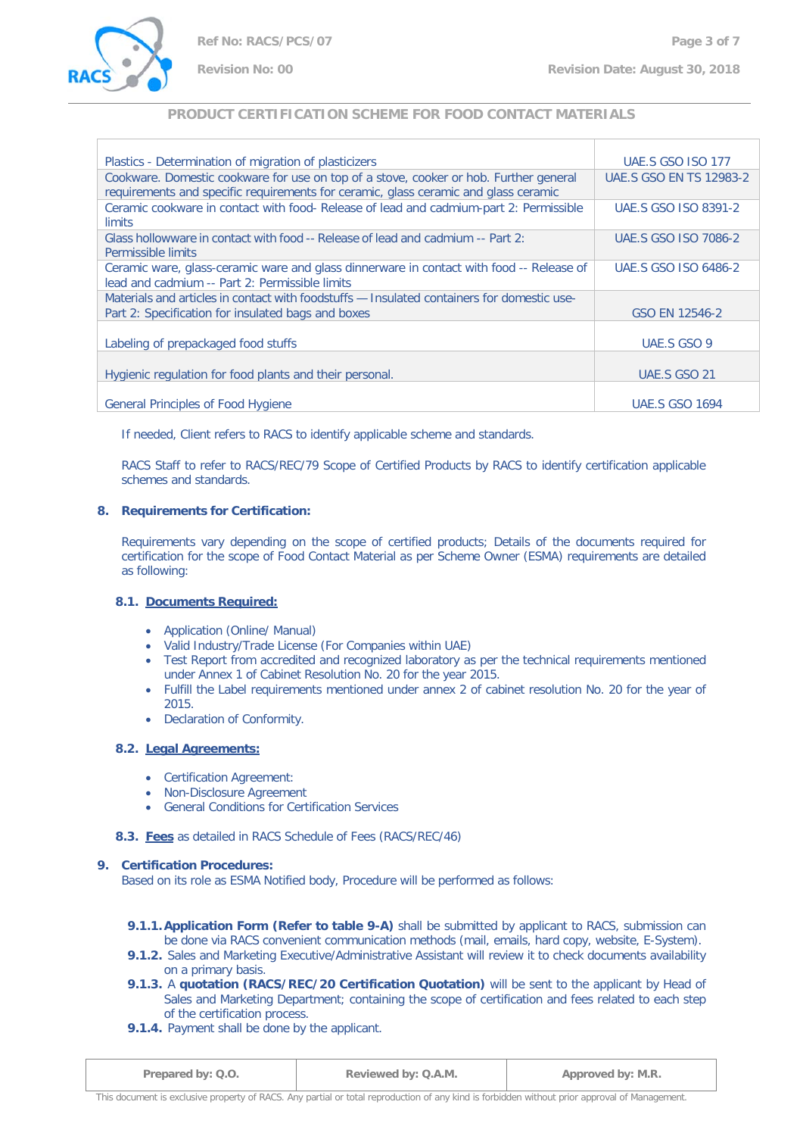

**Revision No: 00 Revision Date: August 30, 2018** 

# **PRODUCT CERTIFICATION SCHEME FOR FOOD CONTACT MATERIALS**

| Plastics - Determination of migration of plasticizers                                                                                      | <b>UAE.S GSO ISO 177</b>       |
|--------------------------------------------------------------------------------------------------------------------------------------------|--------------------------------|
| Cookware. Domestic cookware for use on top of a stove, cooker or hob. Further general                                                      | <b>UAE.S GSO EN TS 12983-2</b> |
| requirements and specific requirements for ceramic, glass ceramic and glass ceramic                                                        |                                |
| Ceramic cookware in contact with food- Release of lead and cadmium-part 2: Permissible<br>limits                                           | <b>UAE.S GSO ISO 8391-2</b>    |
| Glass hollowware in contact with food -- Release of lead and cadmium -- Part 2:<br>Permissible limits                                      | UAE.S GSO ISO 7086-2           |
| Ceramic ware, glass-ceramic ware and glass dinnerware in contact with food -- Release of<br>lead and cadmium -- Part 2: Permissible limits | <b>UAE.S GSO ISO 6486-2</b>    |
| Materials and articles in contact with foodstuffs — Insulated containers for domestic use-                                                 |                                |
| Part 2: Specification for insulated bags and boxes                                                                                         | GSO EN 12546-2                 |
| Labeling of prepackaged food stuffs                                                                                                        | UAE.S GSO 9                    |
| Hygienic regulation for food plants and their personal.                                                                                    | UAE.S GSO 21                   |
| <b>General Principles of Food Hygiene</b>                                                                                                  | <b>UAE.S GSO 1694</b>          |

If needed, Client refers to RACS to identify applicable scheme and standards.

RACS Staff to refer to RACS/REC/79 Scope of Certified Products by RACS to identify certification applicable schemes and standards.

# **8. Requirements for Certification:**

Requirements vary depending on the scope of certified products; Details of the documents required for certification for the scope of Food Contact Material as per Scheme Owner (ESMA) requirements are detailed as following:

# **8.1. Documents Required:**

- Application (Online/ Manual)
- Valid Industry/Trade License (For Companies within UAE)
- Test Report from accredited and recognized laboratory as per the technical requirements mentioned under Annex 1 of Cabinet Resolution No. 20 for the year 2015.
- Fulfill the Label requirements mentioned under annex 2 of cabinet resolution No. 20 for the year of 2015.
- Declaration of Conformity.

# **8.2. Legal Agreements:**

- Certification Agreement:
- Non-Disclosure Agreement
- General Conditions for Certification Services

# **8.3. Fees** as detailed in RACS Schedule of Fees (RACS/REC/46)

# **9. Certification Procedures:**

Based on its role as ESMA Notified body, Procedure will be performed as follows:

- **9.1.1.Application Form (Refer to table 9-A)** shall be submitted by applicant to RACS, submission can be done via RACS convenient communication methods (mail, emails, hard copy, website, E-System).
- **9.1.2.** Sales and Marketing Executive/Administrative Assistant will review it to check documents availability on a primary basis.
- **9.1.3.** A **quotation (RACS/REC/20 Certification Quotation)** will be sent to the applicant by Head of Sales and Marketing Department; containing the scope of certification and fees related to each step of the certification process.
- **9.1.4.** Payment shall be done by the applicant.

| Prepared by: Q.O. | Reviewed by: Q.A.M. | Approved by: M.R. |
|-------------------|---------------------|-------------------|
|-------------------|---------------------|-------------------|

This document is exclusive property of RACS. Any partial or total reproduction of any kind is forbidden without prior approval of Management.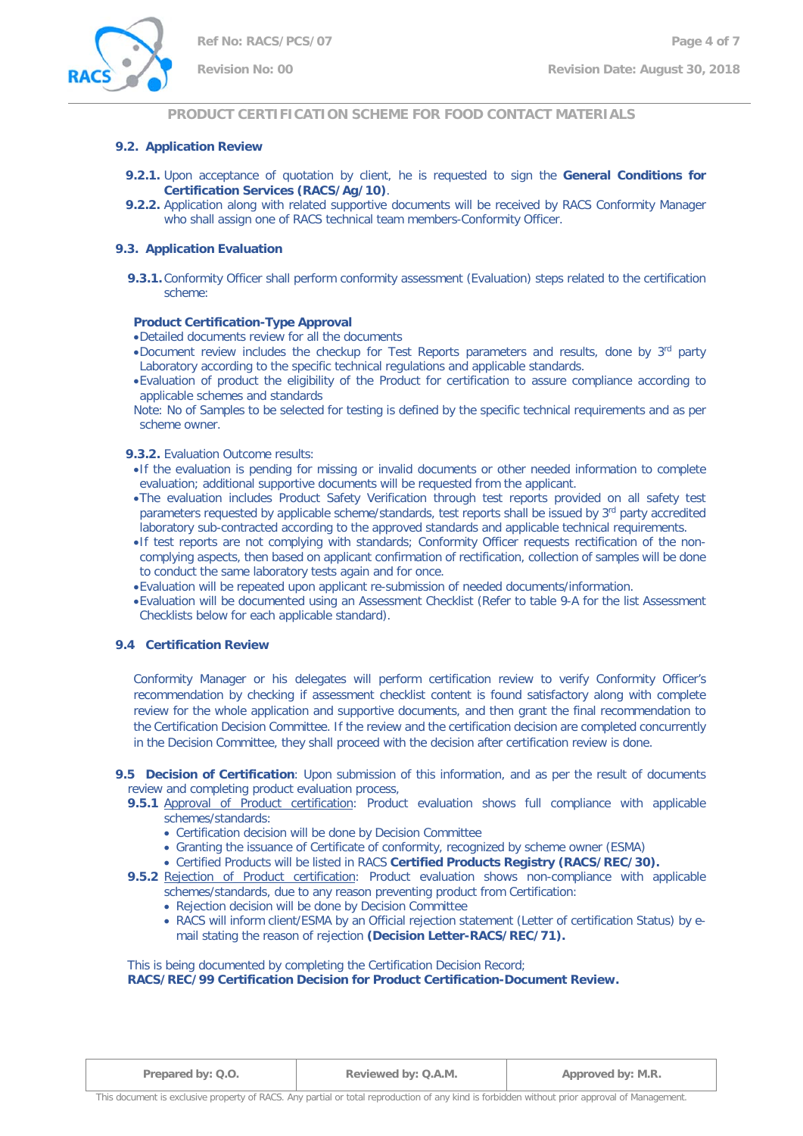

#### **9.2. Application Review**

- **9.2.1.** Upon acceptance of quotation by client, he is requested to sign the **General Conditions for Certification Services (RACS/Ag/10)**.
- **9.2.2.** Application along with related supportive documents will be received by RACS Conformity Manager who shall assign one of RACS technical team members-Conformity Officer.

#### **9.3. Application Evaluation**

**9.3.1.** Conformity Officer shall perform conformity assessment (Evaluation) steps related to the certification scheme:

### **Product Certification-Type Approval**

- •Detailed documents review for all the documents
- •Document review includes the checkup for Test Reports parameters and results, done by 3rd party Laboratory according to the specific technical regulations and applicable standards.
- •Evaluation of product the eligibility of the Product for certification to assure compliance according to applicable schemes and standards

Note: No of Samples to be selected for testing is defined by the specific technical requirements and as per scheme owner.

#### **9.3.2.** Evaluation Outcome results:

- •If the evaluation is pending for missing or invalid documents or other needed information to complete evaluation; additional supportive documents will be requested from the applicant.
- •The evaluation includes Product Safety Verification through test reports provided on all safety test parameters requested by applicable scheme/standards, test reports shall be issued by 3<sup>rd</sup> party accredited laboratory sub-contracted according to the approved standards and applicable technical requirements.
- •If test reports are not complying with standards; Conformity Officer requests rectification of the noncomplying aspects, then based on applicant confirmation of rectification, collection of samples will be done to conduct the same laboratory tests again and for once.
- •Evaluation will be repeated upon applicant re-submission of needed documents/information.
- •Evaluation will be documented using an Assessment Checklist (Refer to table 9-A for the list Assessment Checklists below for each applicable standard).

#### **9.4 Certification Review**

Conformity Manager or his delegates will perform certification review to verify Conformity Officer's recommendation by checking if assessment checklist content is found satisfactory along with complete review for the whole application and supportive documents, and then grant the final recommendation to the Certification Decision Committee. If the review and the certification decision are completed concurrently in the Decision Committee, they shall proceed with the decision after certification review is done.

- **9.5 Decision of Certification**: Upon submission of this information, and as per the result of documents review and completing product evaluation process,
	- **9.5.1** Approval of Product certification: Product evaluation shows full compliance with applicable schemes/standards:
		- Certification decision will be done by Decision Committee
		- Granting the issuance of Certificate of conformity, recognized by scheme owner (ESMA)
		- Certified Products will be listed in RACS **Certified Products Registry (RACS/REC/30).**
	- 9.5.2 Rejection of Product certification: Product evaluation shows non-compliance with applicable schemes/standards, due to any reason preventing product from Certification:
		- Rejection decision will be done by Decision Committee
		- RACS will inform client/ESMA by an Official rejection statement (Letter of certification Status) by email stating the reason of rejection **(Decision Letter-RACS/REC/71).**

This is being documented by completing the Certification Decision Record; **RACS/REC/99 Certification Decision for Product Certification-Document Review.**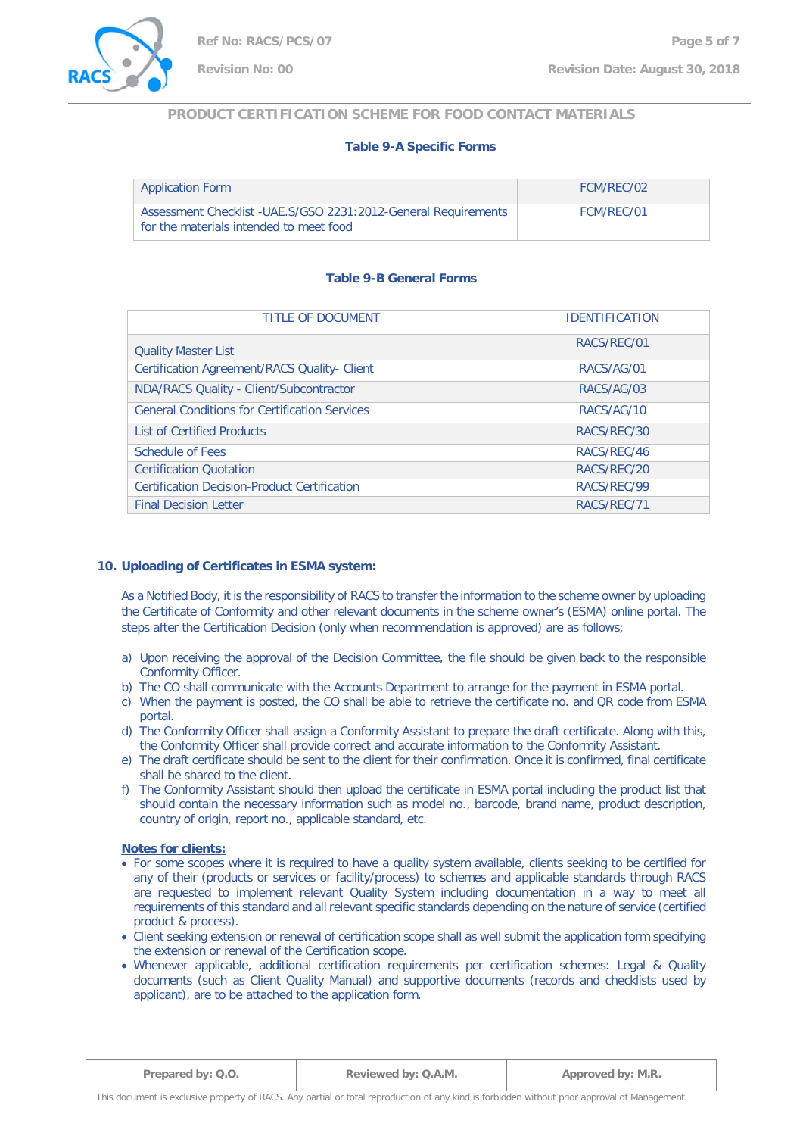

#### **Table 9-A Specific Forms**

| <b>Application Form</b>                                                                                    | FCM/REC/02 |
|------------------------------------------------------------------------------------------------------------|------------|
| Assessment Checklist - UAE.S/GSO 2231:2012-General Requirements<br>for the materials intended to meet food | FCM/REC/01 |

#### **Table 9-B General Forms**

| TITLE OF DOCUMENT                                    | <b>IDENTIFICATION</b> |
|------------------------------------------------------|-----------------------|
| <b>Quality Master List</b>                           | RACS/REC/01           |
| Certification Agreement/RACS Quality- Client         | RACS/AG/01            |
| NDA/RACS Quality - Client/Subcontractor              | RACS/AG/03            |
| <b>General Conditions for Certification Services</b> | RACS/AG/10            |
| <b>List of Certified Products</b>                    | RACS/REC/30           |
| Schedule of Fees                                     | RACS/REC/46           |
| <b>Certification Quotation</b>                       | RACS/REC/20           |
| <b>Certification Decision-Product Certification</b>  | RACS/REC/99           |
| <b>Final Decision Letter</b>                         | RACS/REC/71           |

#### **10. Uploading of Certificates in ESMA system:**

As a Notified Body, it is the responsibility of RACS to transfer the information to the scheme owner by uploading the Certificate of Conformity and other relevant documents in the scheme owner's (ESMA) online portal. The steps after the Certification Decision (only when recommendation is approved) are as follows;

- a) Upon receiving the approval of the Decision Committee, the file should be given back to the responsible Conformity Officer.
- b) The CO shall communicate with the Accounts Department to arrange for the payment in ESMA portal.
- c) When the payment is posted, the CO shall be able to retrieve the certificate no. and QR code from ESMA portal.
- d) The Conformity Officer shall assign a Conformity Assistant to prepare the draft certificate. Along with this, the Conformity Officer shall provide correct and accurate information to the Conformity Assistant.
- e) The draft certificate should be sent to the client for their confirmation. Once it is confirmed, final certificate shall be shared to the client.
- f) The Conformity Assistant should then upload the certificate in ESMA portal including the product list that should contain the necessary information such as model no., barcode, brand name, product description, country of origin, report no., applicable standard, etc.

#### **Notes for clients:**

- For some scopes where it is required to have a quality system available, clients seeking to be certified for any of their (products or services or facility/process) to schemes and applicable standards through RACS are requested to implement relevant Quality System including documentation in a way to meet all requirements of this standard and all relevant specific standards depending on the nature of service (certified product & process).
- Client seeking extension or renewal of certification scope shall as well submit the application form specifying the extension or renewal of the Certification scope.
- Whenever applicable, additional certification requirements per certification schemes: Legal & Quality documents (such as Client Quality Manual) and supportive documents (records and checklists used by applicant), are to be attached to the application form.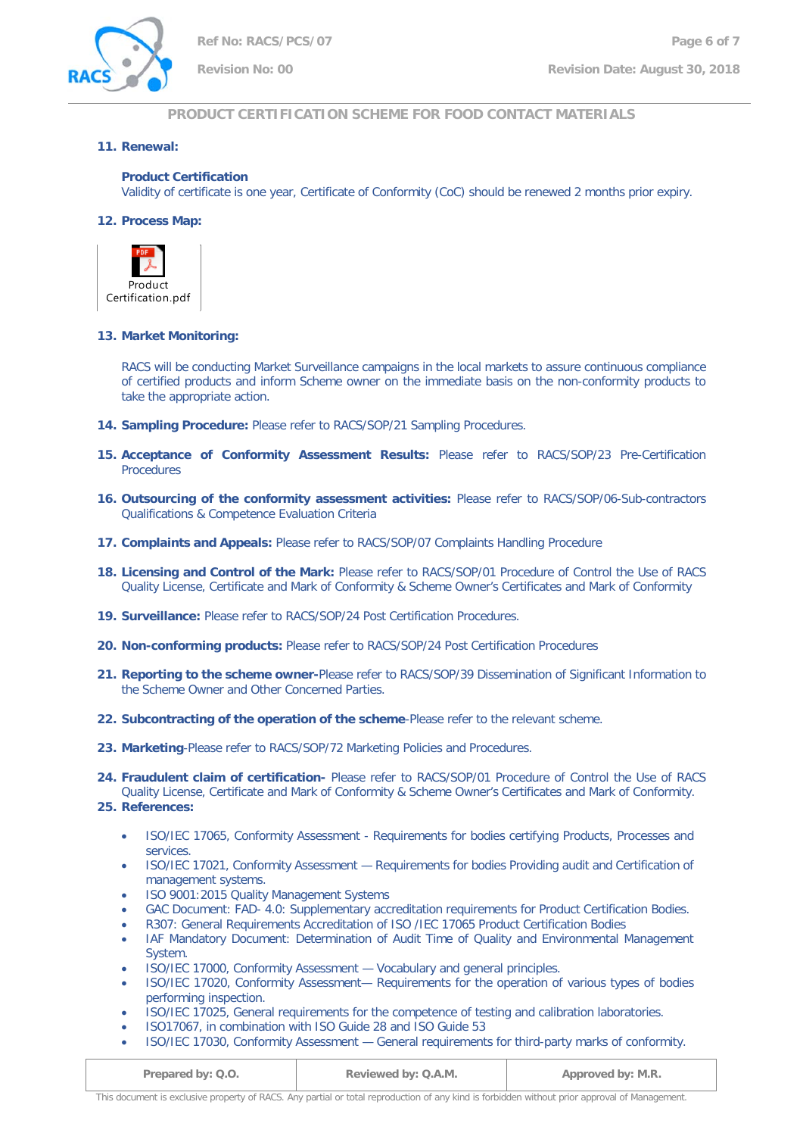

#### **11. Renewal:**

#### **Product Certification**

Validity of certificate is one year, Certificate of Conformity (CoC) should be renewed 2 months prior expiry.

#### **12. Process Map:**



#### **13. Market Monitoring:**

RACS will be conducting Market Surveillance campaigns in the local markets to assure continuous compliance of certified products and inform Scheme owner on the immediate basis on the non-conformity products to take the appropriate action.

- **14. Sampling Procedure:** Please refer to RACS/SOP/21 Sampling Procedures.
- **15. Acceptance of Conformity Assessment Results:** Please refer to RACS/SOP/23 Pre-Certification Procedures
- **16. Outsourcing of the conformity assessment activities:** Please refer to RACS/SOP/06-Sub-contractors Qualifications & Competence Evaluation Criteria
- **17. Complaints and Appeals:** Please refer to RACS/SOP/07 Complaints Handling Procedure
- 18. Licensing and Control of the Mark: Please refer to RACS/SOP/01 Procedure of Control the Use of RACS Quality License, Certificate and Mark of Conformity & Scheme Owner's Certificates and Mark of Conformity
- **19. Surveillance:** Please refer to RACS/SOP/24 Post Certification Procedures.
- **20. Non-conforming products:** Please refer to RACS/SOP/24 Post Certification Procedures
- **21. Reporting to the scheme owner-**Please refer to RACS/SOP/39 Dissemination of Significant Information to the Scheme Owner and Other Concerned Parties.
- **22. Subcontracting of the operation of the scheme**-Please refer to the relevant scheme.
- **23. Marketing**-Please refer to RACS/SOP/72 Marketing Policies and Procedures.
- **24. Fraudulent claim of certification-** Please refer to RACS/SOP/01 Procedure of Control the Use of RACS Quality License, Certificate and Mark of Conformity & Scheme Owner's Certificates and Mark of Conformity.
- **25. References:**
	- ISO/IEC 17065, Conformity Assessment Requirements for bodies certifying Products, Processes and services.
	- ISO/IEC 17021, Conformity Assessment Requirements for bodies Providing audit and Certification of management systems.
	- ISO 9001:2015 Quality Management Systems
	- GAC Document: FAD- 4.0: Supplementary accreditation requirements for Product Certification Bodies.
	- R307: General Requirements Accreditation of ISO /IEC 17065 Product Certification Bodies
	- IAF Mandatory Document: Determination of Audit Time of Quality and Environmental Management System.
	- ISO/IEC 17000, Conformity Assessment Vocabulary and general principles.
	- ISO/IEC 17020, Conformity Assessment— Requirements for the operation of various types of bodies performing inspection.
	- ISO/IEC 17025, General requirements for the competence of testing and calibration laboratories.
	- ISO17067, in combination with ISO Guide 28 and ISO Guide 53
	- ISO/IEC 17030, Conformity Assessment General requirements for third-party marks of conformity.

This document is exclusive property of RACS. Any partial or total reproduction of any kind is forbidden without prior approval of Management.